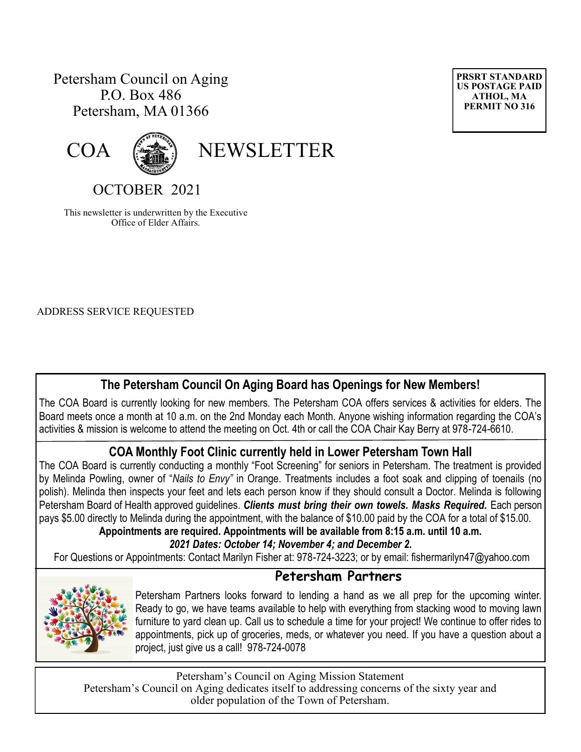# Petersham Council on Aging P.O. Box 486 Petersham, MA 01366





COA (

OCTOBER 2021

This newsletter is underwritten by the Executive Office of Elder Affairs.

ADDRESS SERVICE REQUESTED

# **The Petersham Council On Aging Board has Openings for New Members!**

The COA Board is currently looking for new members. The Petersham COA offers services & activities for elders. The Board meets once a month at 10 a.m. on the 2nd Monday each Month. Anyone wishing information regarding the COA's activities & mission is welcome to attend the meeting on Oct. 4th or call the COA Chair Kay Berry at 978-724-6610.

## **COA Monthly Foot Clinic currently held in Lower Petersham Town Hall**

The COA Board is currently conducting a monthly "Foot Screening" for seniors in Petersham. The treatment is provided by Melinda Powling, owner of "*Nails to Envy"* in Orange. Treatments includes a foot soak and clipping of toenails (no polish). Melinda then inspects your feet and lets each person know if they should consult a Doctor. Melinda is following Petersham Board of Health approved guidelines. *Clients must bring their own towels. Masks Required.* Each person pays \$5.00 directly to Melinda during the appointment, with the balance of \$10.00 paid by the COA for a total of \$15.00.

**Appointments are required. Appointments will be available from 8:15 a.m. until 10 a.m.** 

## *2021 Dates: October 14; November 4; and December 2.*

For Questions or Appointments: Contact Marilyn Fisher at: 978-724-3223; or by email: fishermarilyn47@yahoo.com

## **Petersham Partners**



Petersham Partners looks forward to lending a hand as we all prep for the upcoming winter. Ready to go, we have teams available to help with everything from stacking wood to moving lawn furniture to yard clean up. Call us to schedule a time for your project! We continue to offer rides to appointments, pick up of groceries, meds, or whatever you need. If you have a question about a project, just give us a call! 978-724-0078

Petersham's Council on Aging Mission Statement Petersham's Council on Aging dedicates itself to addressing concerns of the sixty year and older population of the Town of Petersham.

**PRSRT STANDARD US POSTAGE PAID ATHOL, MA PERMIT NO 316**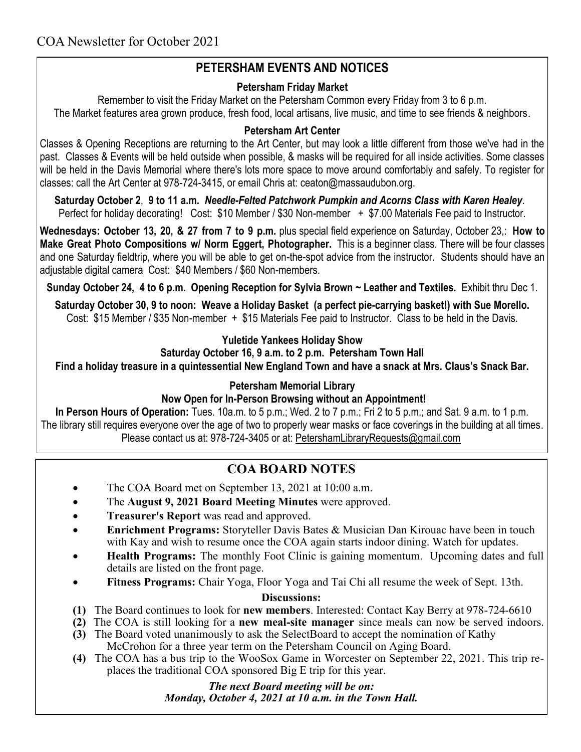# **PETERSHAM EVENTS AND NOTICES**

### **Petersham Friday Market**

Remember to visit the Friday Market on the Petersham Common every Friday from 3 to 6 p.m. The Market features area grown produce, fresh food, local artisans, live music, and time to see friends & neighbors.

### **Petersham Art Center**

Classes & Opening Receptions are returning to the Art Center, but may look a little different from those we've had in the past. Classes & Events will be held outside when possible, & masks will be required for all inside activities. Some classes will be held in the Davis Memorial where there's lots more space to move around comfortably and safely. To register for classes: call the Art Center at 978-724-3415, or email Chris at: [ceaton@massaudubon.org.](mailto:ceaton@massaudubon.org)

**Saturday October 2**, **9 to 11 a.m.** *Needle-Felted Patchwork Pumpkin and Acorns Class with Karen Healey*. Perfect for holiday decorating! Cost: \$10 Member / \$30 Non-member + \$7.00 Materials Fee paid to Instructor.

**Wednesdays: October 13, 20, & 27 from 7 to 9 p.m.** plus special field experience on Saturday, October 23,: **How to Make Great Photo Compositions w/ Norm Eggert, Photographer.** This is a beginner class. There will be four classes and one Saturday fieldtrip, where you will be able to get on-the-spot advice from the instructor. Students should have an adjustable digital camera Cost: \$40 Members / \$60 Non-members.

**Sunday October 24, 4 to 6 p.m. Opening Reception for Sylvia Brown ~ Leather and Textiles.** Exhibit thru Dec 1.

**Saturday October 30, 9 to noon: Weave a Holiday Basket (a perfect pie-carrying basket!) with Sue Morello.** Cost: \$15 Member / \$35 Non-member + \$15 Materials Fee paid to Instructor. Class to be held in the Davis.

## **Yuletide Yankees Holiday Show**

## **Saturday October 16, 9 a.m. to 2 p.m. Petersham Town Hall**

**Find a holiday treasure in a quintessential New England Town and have a snack at Mrs. Claus's Snack Bar.**

#### **Petersham Memorial Library**

## **Now Open for In-Person Browsing without an Appointment!**

**In Person Hours of Operation:** Tues. 10a.m. to 5 p.m.; Wed. 2 to 7 p.m.; Fri 2 to 5 p.m.; and Sat. 9 a.m. to 1 p.m. The library still requires everyone over the age of two to properly wear masks or face coverings in the building at all times. Please contact us at: 978-724-3405 or at: [PetershamLibraryRequests@gmail.com](mailto:PetershamLibraryRequests@gmail.com)

## **COA BOARD NOTES**

- The COA Board met on September 13, 2021 at 10:00 a.m.
- The **August 9, 2021 Board Meeting Minutes** were approved.
- **Treasurer's Report** was read and approved.
- **Enrichment Programs:** Storyteller Davis Bates & Musician Dan Kirouac have been in touch with Kay and wish to resume once the COA again starts indoor dining. Watch for updates.
- **Health Programs:** The monthly Foot Clinic is gaining momentum. Upcoming dates and full details are listed on the front page.
- **Fitness Programs:** Chair Yoga, Floor Yoga and Tai Chi all resume the week of Sept. 13th.

## **Discussions:**

- **(1)** The Board continues to look for **new members**. Interested: Contact Kay Berry at 978-724-6610
- **(2)** The COA is still looking for a **new meal-site manager** since meals can now be served indoors.
- **(3)** The Board voted unanimously to ask the SelectBoard to accept the nomination of Kathy McCrohon for a three year term on the Petersham Council on Aging Board.
- **(4)** The COA has a bus trip to the WooSox Game in Worcester on September 22, 2021. This trip replaces the traditional COA sponsored Big E trip for this year.

#### *The next Board meeting will be on: Monday, October 4, 2021 at 10 a.m. in the Town Hall.*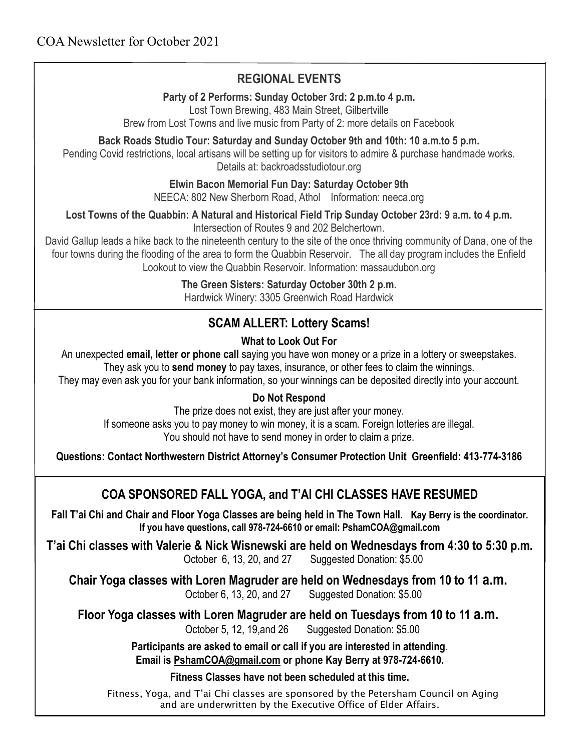# **REGIONAL EVENTS**

**Party of 2 Performs: Sunday October 3rd: 2 p.m.to 4 p.m.**

Lost Town Brewing, 483 Main Street, Gilbertville

Brew from Lost Towns and live music from Party of 2: more details on Facebook

**Back Roads Studio Tour: Saturday and Sunday October 9th and 10th: 10 a.m.to 5 p.m.**

Pending Covid restrictions, local artisans will be setting up for visitors to admire & purchase handmade works. Details at: backroadsstudiotour.org

## **Elwin Bacon Memorial Fun Day: Saturday October 9th**

NEECA: 802 New Sherborn Road, Athol Information: neeca.org

**Lost Towns of the Quabbin: A Natural and Historical Field Trip Sunday October 23rd: 9 a.m. to 4 p.m.**

Intersection of Routes 9 and 202 Belchertown.

David Gallup leads a hike back to the nineteenth century to the site of the once thriving community of Dana, one of the four towns during the flooding of the area to form the Quabbin Reservoir. The all day program includes the Enfield Lookout to view the Quabbin Reservoir. Information: massaudubon.org

## **The Green Sisters: Saturday October 30th 2 p.m.**

Hardwick Winery: 3305 Greenwich Road Hardwick

# **SCAM ALLERT: Lottery Scams!**

## **What to Look Out For**

An unexpected **email, letter or phone call** saying you have won money or a prize in a lottery or sweepstakes.

They ask you to **send money** to pay taxes, insurance, or other fees to claim the winnings.

They may even ask you for your bank information, so your winnings can be deposited directly into your account.

## **Do Not Respond**

The prize does not exist, they are just after your money. If someone asks you to pay money to win money, it is a scam. Foreign lotteries are illegal. You should not have to send money in order to claim a prize.

**Questions: Contact Northwestern District Attorney's Consumer Protection Unit Greenfield: 413-774-3186**

# **COA SPONSORED FALL YOGA, and T'AI CHI CLASSES HAVE RESUMED**

**Fall T'ai Chi and Chair and Floor Yoga Classes are being held in The Town Hall. Kay Berry is the coordinator. If you have questions, call 978-724-6610 or email: PshamCOA@gmail.com**

**T'ai Chi classes with Valerie & Nick Wisnewski are held on Wednesdays from 4:30 to 5:30 p.m.**  October 6, 13, 20, and 27 Suggested Donation: \$5.00

**Chair Yoga classes with Loren Magruder are held on Wednesdays from 10 to 11 a.m.** October 6, 13, 20, and 27 Suggested Donation: \$5.00

**Floor Yoga classes with Loren Magruder are held on Tuesdays from 10 to 11 a.m.** October 5, 12, 19,and 26 Suggested Donation: \$5.00

> **Participants are asked to email or call if you are interested in attending**. **Email is [PshamCOA@gmail.com](mailto:PshamCOA@gmail.com) or phone Kay Berry at 978-724-6610.**

> > **Fitness Classes have not been scheduled at this time.**

Fitness, Yoga, and T'ai Chi classes are sponsored by the Petersham Council on Aging and are underwritten by the Executive Office of Elder Affairs.